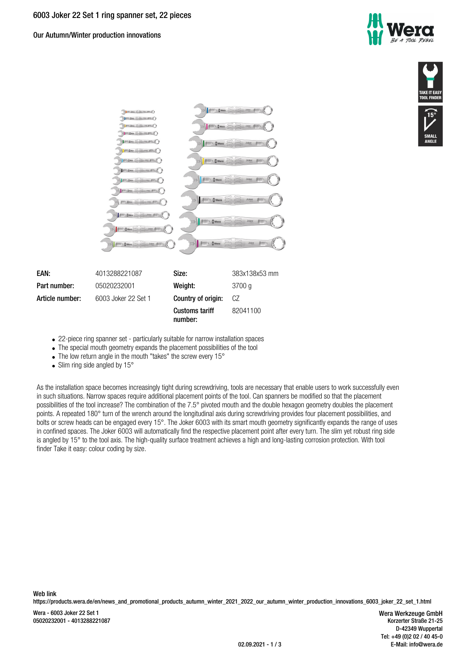Our Autumn/Winter production innovations







- 22-piece ring spanner set particularly suitable for narrow installation spaces
- The special mouth geometry expands the placement possibilities of the tool
- The low return angle in the mouth "takes" the screw every 15°
- Slim ring side angled by  $15^\circ$

As the installation space becomes increasingly tight during screwdriving, tools are necessary that enable users to work successfully even in such situations. Narrow spaces require additional placement points of the tool. Can spanners be modified so that the placement possibilities of the tool increase? The combination of the 7.5° pivoted mouth and the double hexagon geometry doubles the placement points. A repeated 180° turn of the wrench around the longitudinal axis during screwdriving provides four placement possibilities, and bolts or screw heads can be engaged every 15°. The Joker 6003 with its smart mouth geometry significantly expands the range of uses in confined spaces. The Joker 6003 will automatically find the respective placement point after every turn. The slim yet robust ring side is angled by 15° to the tool axis. The high-quality surface treatment achieves a high and long-lasting corrosion protection. With tool finder Take it easy: colour coding by size.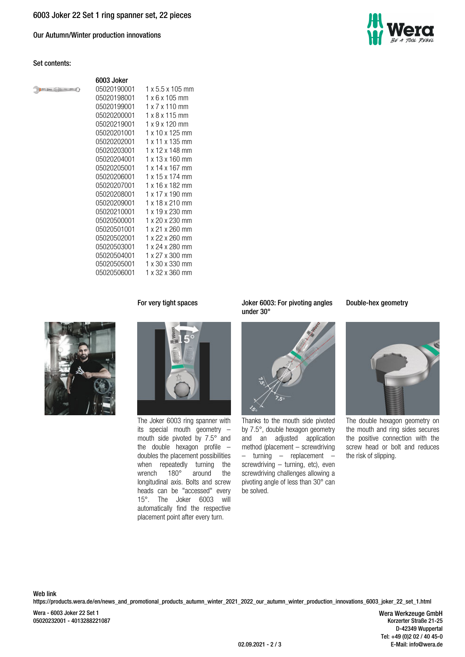Our Autumn/Winter production innovations

## **Set contents:**

 $\mathbb{R}$ 

|                                                    | 6003 Joker  |                              |
|----------------------------------------------------|-------------|------------------------------|
| <b>BOY</b> <i>Lines</i> 2<br><b>John 5991 (2 )</b> | 05020190001 | $1 \times 5.5 \times 105$ mm |
|                                                    | 05020198001 | $1 \times 6 \times 105$ mm   |
|                                                    | 05020199001 | $1 \times 7 \times 110$ mm   |
|                                                    | 05020200001 | $1 \times 8 \times 115$ mm   |
|                                                    | 05020219001 | 1 x 9 x 120 mm               |
|                                                    | 05020201001 | 1 x 10 x 125 mm              |
|                                                    | 05020202001 | 1 x 11 x 135 mm              |
|                                                    | 05020203001 | 1 x 12 x 148 mm              |
|                                                    | 05020204001 | 1 x 13 x 160 mm              |
|                                                    | 05020205001 | 1 x 14 x 167 mm              |
|                                                    | 05020206001 | 1 x 15 x 174 mm              |
|                                                    | 05020207001 | 1 x 16 x 182 mm              |
|                                                    | 05020208001 | 1 x 17 x 190 mm              |
|                                                    | 05020209001 | 1 x 18 x 210 mm              |
|                                                    | 05020210001 | 1 x 19 x 230 mm              |
|                                                    | 05020500001 | 1 x 20 x 230 mm              |
|                                                    | 05020501001 | 1 x 21 x 260 mm              |
|                                                    | 05020502001 | 1 x 22 x 260 mm              |
|                                                    | 05020503001 | 1 x 24 x 280 mm              |
|                                                    | 05020504001 | 1 x 27 x 300 mm              |
|                                                    | 05020505001 | 1 x 30 x 330 mm              |
|                                                    | 05020506001 | 1 x 32 x 360 mm              |



The Joker 6003 ring spanner with its special mouth geometry – mouth side pivoted by 7.5° and the double hexagon profile – doubles the placement possibilities when repeatedly turning the<br>wrench  $180^\circ$  around the around longitudinal axis. Bolts and screw heads can be "accessed" every 15°. The Joker 6003 will automatically find the respective placement point after every turn.

**For very tight spaces Joker 6003: For pivoting angles under 30°**



Thanks to the mouth side pivoted by 7.5°, double hexagon geometry and an adjusted application method (placement – screwdriving – turning – replacement – screwdriving – turning, etc), even screwdriving challenges allowing a pivoting angle of less than 30° can be solved.

## **Double-hex geometry**



The double hexagon geometry on the mouth and ring sides secures the positive connection with the screw head or bolt and reduces the risk of slipping.

**Web link** https://products.wera.de/en/news\_and\_promotional\_products\_autumn\_winter\_2021\_2022\_our\_autumn\_winter\_production\_innovations\_6003\_joker\_22\_set\_1.html

Wera - 6003 Joker 22 Set 1 05020232001 - 4013288221087